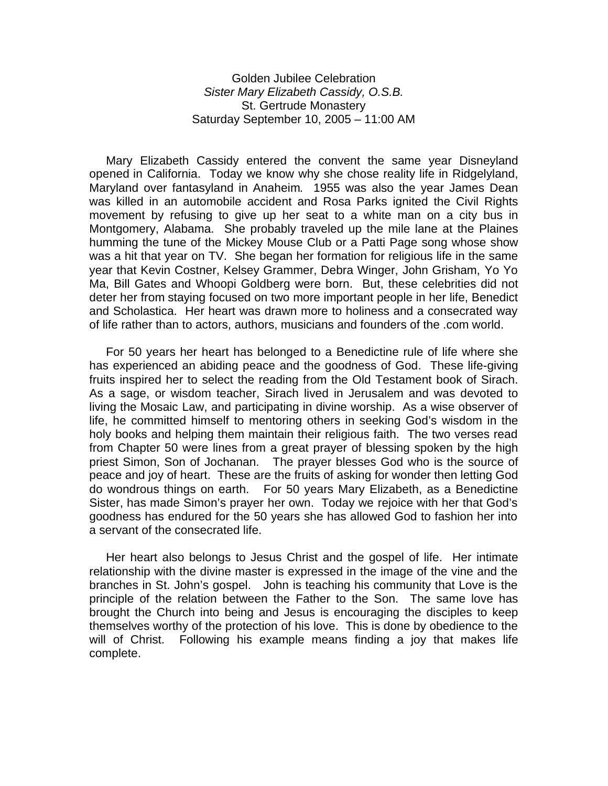Golden Jubilee Celebration *Sister Mary Elizabeth Cassidy, O.S.B.* St. Gertrude Monastery Saturday September 10, 2005 – 11:00 AM

 Mary Elizabeth Cassidy entered the convent the same year Disneyland opened in California. Today we know why she chose reality life in Ridgelyland, Maryland over fantasyland in Anaheim. 1955 was also the year James Dean was killed in an automobile accident and Rosa Parks ignited the Civil Rights movement by refusing to give up her seat to a white man on a city bus in Montgomery, Alabama. She probably traveled up the mile lane at the Plaines humming the tune of the Mickey Mouse Club or a Patti Page song whose show was a hit that year on TV. She began her formation for religious life in the same year that Kevin Costner, Kelsey Grammer, Debra Winger, John Grisham, Yo Yo Ma, Bill Gates and Whoopi Goldberg were born. But, these celebrities did not deter her from staying focused on two more important people in her life, Benedict and Scholastica. Her heart was drawn more to holiness and a consecrated way of life rather than to actors, authors, musicians and founders of the .com world.

 For 50 years her heart has belonged to a Benedictine rule of life where she has experienced an abiding peace and the goodness of God. These life-giving fruits inspired her to select the reading from the Old Testament book of Sirach. As a sage, or wisdom teacher, Sirach lived in Jerusalem and was devoted to living the Mosaic Law, and participating in divine worship. As a wise observer of life, he committed himself to mentoring others in seeking God's wisdom in the holy books and helping them maintain their religious faith. The two verses read from Chapter 50 were lines from a great prayer of blessing spoken by the high priest Simon, Son of Jochanan. The prayer blesses God who is the source of peace and joy of heart. These are the fruits of asking for wonder then letting God do wondrous things on earth. For 50 years Mary Elizabeth, as a Benedictine Sister, has made Simon's prayer her own. Today we rejoice with her that God's goodness has endured for the 50 years she has allowed God to fashion her into a servant of the consecrated life.

 Her heart also belongs to Jesus Christ and the gospel of life. Her intimate relationship with the divine master is expressed in the image of the vine and the branches in St. John's gospel. John is teaching his community that Love is the principle of the relation between the Father to the Son. The same love has brought the Church into being and Jesus is encouraging the disciples to keep themselves worthy of the protection of his love. This is done by obedience to the will of Christ. Following his example means finding a joy that makes life complete.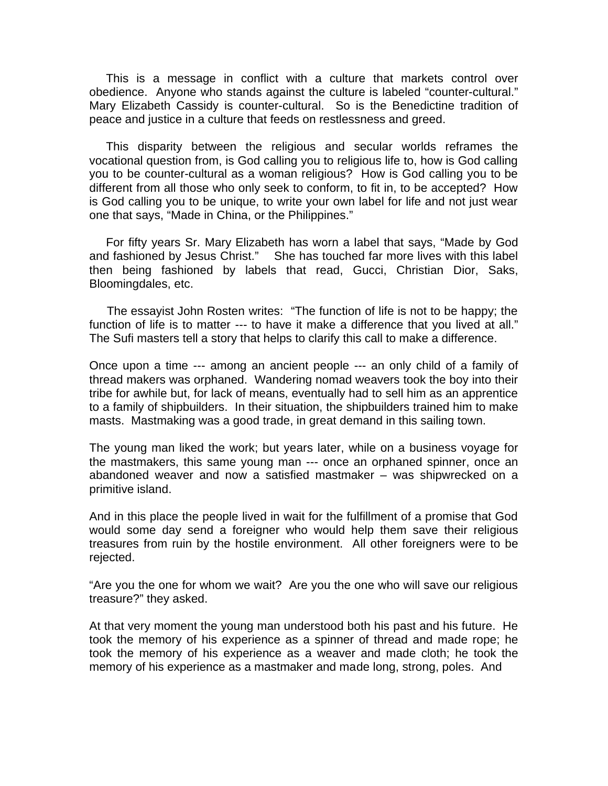This is a message in conflict with a culture that markets control over obedience. Anyone who stands against the culture is labeled "counter-cultural." Mary Elizabeth Cassidy is counter-cultural. So is the Benedictine tradition of peace and justice in a culture that feeds on restlessness and greed.

 This disparity between the religious and secular worlds reframes the vocational question from, is God calling you to religious life to, how is God calling you to be counter-cultural as a woman religious? How is God calling you to be different from all those who only seek to conform, to fit in, to be accepted? How is God calling you to be unique, to write your own label for life and not just wear one that says, "Made in China, or the Philippines."

 For fifty years Sr. Mary Elizabeth has worn a label that says, "Made by God and fashioned by Jesus Christ." She has touched far more lives with this label then being fashioned by labels that read, Gucci, Christian Dior, Saks, Bloomingdales, etc.

 The essayist John Rosten writes: "The function of life is not to be happy; the function of life is to matter --- to have it make a difference that you lived at all." The Sufi masters tell a story that helps to clarify this call to make a difference.

Once upon a time --- among an ancient people --- an only child of a family of thread makers was orphaned. Wandering nomad weavers took the boy into their tribe for awhile but, for lack of means, eventually had to sell him as an apprentice to a family of shipbuilders. In their situation, the shipbuilders trained him to make masts. Mastmaking was a good trade, in great demand in this sailing town.

The young man liked the work; but years later, while on a business voyage for the mastmakers, this same young man --- once an orphaned spinner, once an abandoned weaver and now a satisfied mastmaker – was shipwrecked on a primitive island.

And in this place the people lived in wait for the fulfillment of a promise that God would some day send a foreigner who would help them save their religious treasures from ruin by the hostile environment. All other foreigners were to be rejected.

"Are you the one for whom we wait? Are you the one who will save our religious treasure?" they asked.

At that very moment the young man understood both his past and his future. He took the memory of his experience as a spinner of thread and made rope; he took the memory of his experience as a weaver and made cloth; he took the memory of his experience as a mastmaker and made long, strong, poles. And